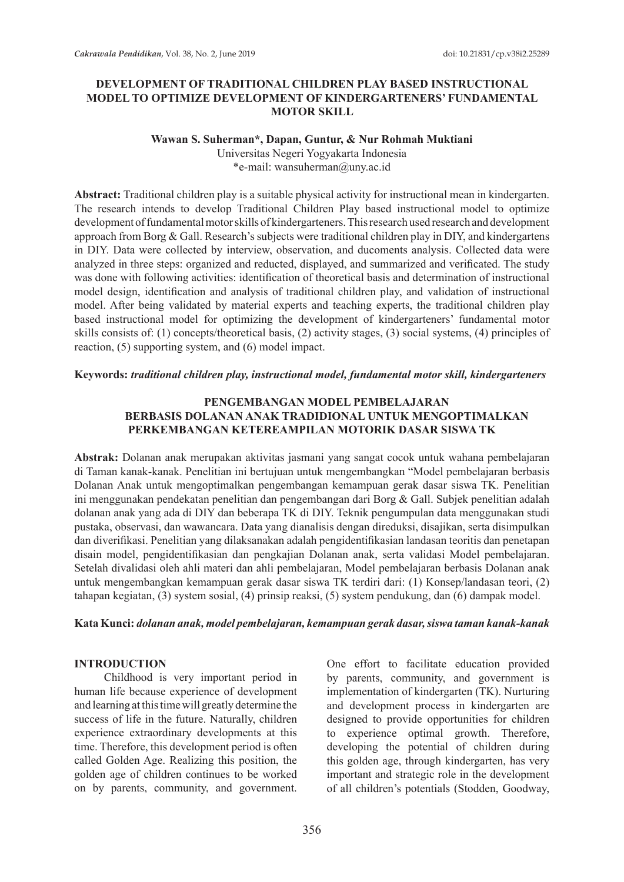## **DEVELOPMENT OF TRADITIONAL CHILDREN PLAY BASED INSTRUCTIONAL MODEL TO OPTIMIZE DEVELOPMENT OF KINDERGARTENERS' FUNDAMENTAL MOTOR SKILL**

### **Wawan S. Suherman\*, Dapan, Guntur, & Nur Rohmah Muktiani** Universitas Negeri Yogyakarta Indonesia

\*e-mail: wansuherman@uny.ac.id

**Abstract:** Traditional children play is a suitable physical activity for instructional mean in kindergarten. The research intends to develop Traditional Children Play based instructional model to optimize development of fundamental motor skills of kindergarteners. This research used research and development approach from Borg & Gall. Research's subjects were traditional children play in DIY, and kindergartens in DIY. Data were collected by interview, observation, and ducoments analysis. Collected data were analyzed in three steps: organized and reducted, displayed, and summarized and verificated. The study was done with following activities: identification of theoretical basis and determination of instructional model design, identification and analysis of traditional children play, and validation of instructional model. After being validated by material experts and teaching experts, the traditional children play based instructional model for optimizing the development of kindergarteners' fundamental motor skills consists of: (1) concepts/theoretical basis, (2) activity stages, (3) social systems, (4) principles of reaction, (5) supporting system, and (6) model impact.

## **Keywords:** *traditional children play, instructional model, fundamental motor skill, kindergarteners*

## **PENGEMBANGAN MODEL PEMBELAJARAN BERBASIS DOLANAN ANAK TRADIDIONAL UNTUK MENGOPTIMALKAN PERKEMBANGAN KETEREAMPILAN MOTORIK DASAR SISWA TK**

**Abstrak:** Dolanan anak merupakan aktivitas jasmani yang sangat cocok untuk wahana pembelajaran di Taman kanak-kanak. Penelitian ini bertujuan untuk mengembangkan "Model pembelajaran berbasis Dolanan Anak untuk mengoptimalkan pengembangan kemampuan gerak dasar siswa TK. penelitian ini menggunakan pendekatan penelitian dan pengembangan dari Borg & Gall. Subjek penelitian adalah dolanan anak yang ada di DIY dan beberapa TK di DIY. Teknik pengumpulan data menggunakan studi pustaka, observasi, dan wawancara. Data yang dianalisis dengan direduksi, disajikan, serta disimpulkan dan diverifikasi. Penelitian yang dilaksanakan adalah pengidentifikasian landasan teoritis dan penetapan disain model, pengidentifikasian dan pengkajian Dolanan anak, serta validasi Model pembelajaran. Setelah divalidasi oleh ahli materi dan ahli pembelajaran, Model pembelajaran berbasis Dolanan anak untuk mengembangkan kemampuan gerak dasar siswa TK terdiri dari: (1) Konsep/landasan teori, (2) tahapan kegiatan, (3) system sosial, (4) prinsip reaksi, (5) system pendukung, dan (6) dampak model.

## **Kata Kunci:** *dolanan anak, model pembelajaran, kemampuan gerak dasar, siswa taman kanak-kanak*

## **INTRODUCTION**

Childhood is very important period in human life because experience of development and learning at this time will greatly determine the success of life in the future. Naturally, children experience extraordinary developments at this time. Therefore, this development period is often called Golden Age. Realizing this position, the golden age of children continues to be worked on by parents, community, and government. One effort to facilitate education provided by parents, community, and government is implementation of kindergarten (TK). Nurturing and development process in kindergarten are designed to provide opportunities for children to experience optimal growth. Therefore, developing the potential of children during this golden age, through kindergarten, has very important and strategic role in the development of all children's potentials (Stodden, Goodway,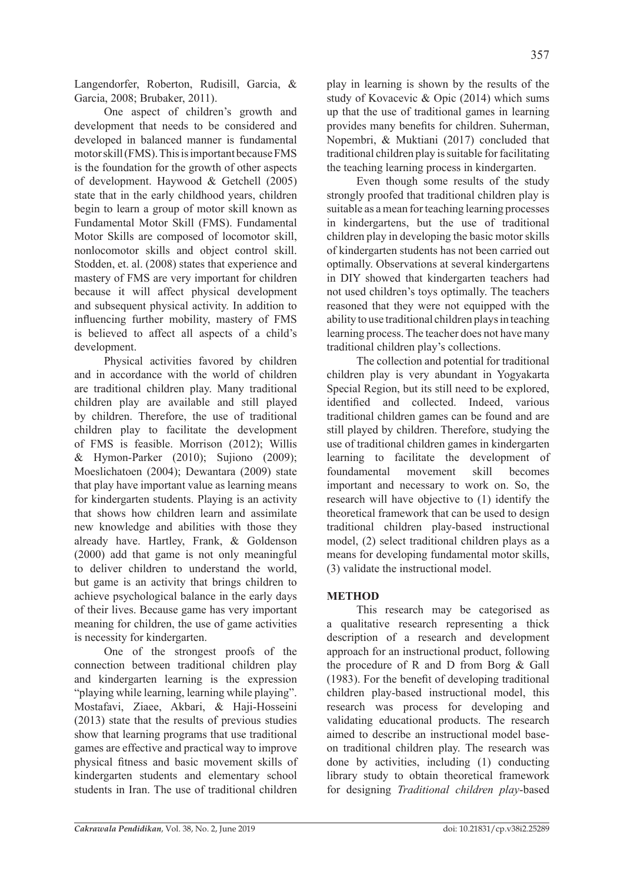Langendorfer, Roberton, Rudisill, Garcia, & Garcia, 2008; Brubaker, 2011).

One aspect of children's growth and development that needs to be considered and developed in balanced manner is fundamental motor skill (FMS). This is important because FMS is the foundation for the growth of other aspects of development. Haywood & Getchell (2005) state that in the early childhood years, children begin to learn a group of motor skill known as Fundamental Motor Skill (FMS). Fundamental Motor Skills are composed of locomotor skill, nonlocomotor skills and object control skill. Stodden, et. al. (2008) states that experience and mastery of FMS are very important for children because it will affect physical development and subsequent physical activity. In addition to influencing further mobility, mastery of FMS is believed to affect all aspects of a child's development.

Physical activities favored by children and in accordance with the world of children are traditional children play. Many traditional children play are available and still played by children. Therefore, the use of traditional children play to facilitate the development of FMS is feasible. Morrison (2012); Willis & Hymon-Parker (2010); Sujiono (2009); Moeslichatoen (2004); Dewantara (2009) state that play have important value as learning means for kindergarten students. Playing is an activity that shows how children learn and assimilate new knowledge and abilities with those they already have. Hartley, Frank, & Goldenson (2000) add that game is not only meaningful to deliver children to understand the world, but game is an activity that brings children to achieve psychological balance in the early days of their lives. Because game has very important meaning for children, the use of game activities is necessity for kindergarten.

One of the strongest proofs of the connection between traditional children play and kindergarten learning is the expression "playing while learning, learning while playing". Mostafavi, Ziaee, Akbari, & Haji-Hosseini (2013) state that the results of previous studies show that learning programs that use traditional games are effective and practical way to improve physical fitness and basic movement skills of kindergarten students and elementary school students in Iran. The use of traditional children play in learning is shown by the results of the study of Kovacevic & Opic (2014) which sums up that the use of traditional games in learning provides many benefits for children. Suherman, Nopembri, & Muktiani (2017) concluded that traditional children play is suitable for facilitating the teaching learning process in kindergarten.

Even though some results of the study strongly proofed that traditional children play is suitable as a mean for teaching learning processes in kindergartens, but the use of traditional children play in developing the basic motor skills of kindergarten students has not been carried out optimally. Observations at several kindergartens in DIY showed that kindergarten teachers had not used children's toys optimally. The teachers reasoned that they were not equipped with the ability to use traditional children plays in teaching learning process. The teacher does not have many traditional children play's collections.

The collection and potential for traditional children play is very abundant in Yogyakarta Special Region, but its still need to be explored, identified and collected. Indeed, various traditional children games can be found and are still played by children. Therefore, studying the use of traditional children games in kindergarten learning to facilitate the development of foundamental movement skill becomes important and necessary to work on. So, the research will have objective to (1) identify the theoretical framework that can be used to design traditional children play-based instructional model, (2) select traditional children plays as a means for developing fundamental motor skills, (3) validate the instructional model.

# **METHOD**

This research may be categorised as a qualitative research representing a thick description of a research and development approach for an instructional product, following the procedure of R and D from Borg & Gall (1983). For the benefit of developing traditional children play-based instructional model, this research was process for developing and validating educational products. The research aimed to describe an instructional model baseon traditional children play. The research was done by activities, including (1) conducting library study to obtain theoretical framework for designing *Traditional children play*-based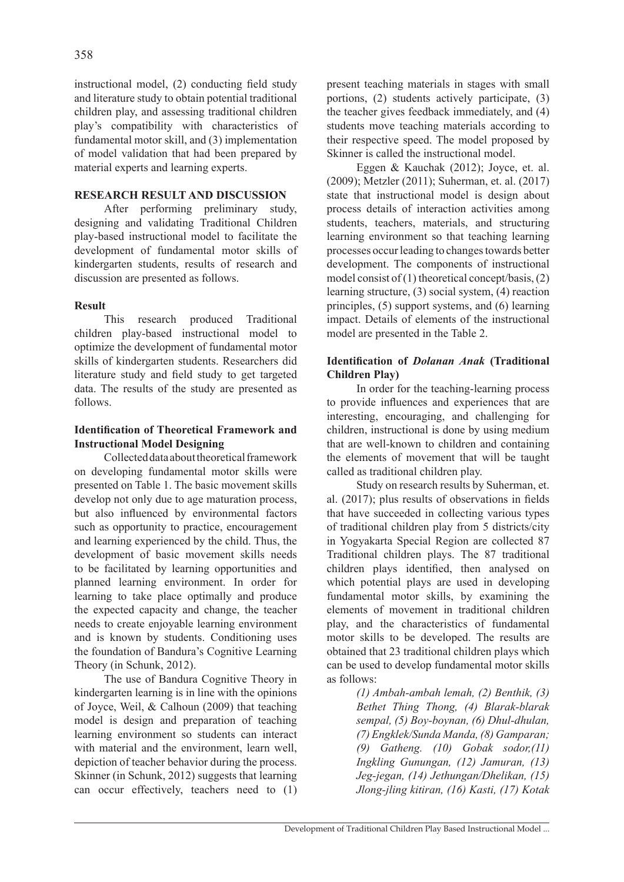instructional model, (2) conducting field study and literature study to obtain potential traditional children play, and assessing traditional children play's compatibility with characteristics of fundamental motor skill, and (3) implementation of model validation that had been prepared by material experts and learning experts.

## **RESEARCH RESULT AND DISCUSSION**

After performing preliminary study, designing and validating Traditional Children play-based instructional model to facilitate the development of fundamental motor skills of kindergarten students, results of research and discussion are presented as follows.

## **Result**

This research produced Traditional children play-based instructional model to optimize the development of fundamental motor skills of kindergarten students. Researchers did literature study and field study to get targeted data. The results of the study are presented as follows.

## **Identification of Theoretical Framework and Instructional Model Designing**

Collected data about theoretical framework on developing fundamental motor skills were presented on Table 1. The basic movement skills develop not only due to age maturation process, but also influenced by environmental factors such as opportunity to practice, encouragement and learning experienced by the child. Thus, the development of basic movement skills needs to be facilitated by learning opportunities and planned learning environment. In order for learning to take place optimally and produce the expected capacity and change, the teacher needs to create enjoyable learning environment and is known by students. Conditioning uses the foundation of Bandura's Cognitive Learning Theory (in Schunk, 2012).

The use of Bandura Cognitive Theory in kindergarten learning is in line with the opinions of Joyce, Weil, & Calhoun (2009) that teaching model is design and preparation of teaching learning environment so students can interact with material and the environment, learn well, depiction of teacher behavior during the process. Skinner (in Schunk, 2012) suggests that learning can occur effectively, teachers need to (1) present teaching materials in stages with small portions, (2) students actively participate, (3) the teacher gives feedback immediately, and (4) students move teaching materials according to their respective speed. The model proposed by Skinner is called the instructional model.

Eggen & Kauchak (2012); Joyce, et. al. (2009); Metzler (2011); Suherman, et. al. (2017) state that instructional model is design about process details of interaction activities among students, teachers, materials, and structuring learning environment so that teaching learning processes occur leading to changes towards better development. The components of instructional model consist of (1) theoretical concept/basis, (2) learning structure, (3) social system, (4) reaction principles, (5) support systems, and (6) learning impact. Details of elements of the instructional model are presented in the Table 2.

# **Identification of** *Dolanan Anak* **(Traditional Children Play)**

In order for the teaching-learning process to provide influences and experiences that are interesting, encouraging, and challenging for children, instructional is done by using medium that are well-known to children and containing the elements of movement that will be taught called as traditional children play.

Study on research results by Suherman, et. al. (2017); plus results of observations in fields that have succeeded in collecting various types of traditional children play from 5 districts/city in Yogyakarta Special Region are collected 87 Traditional children plays. The 87 traditional children plays identified, then analysed on which potential plays are used in developing fundamental motor skills, by examining the elements of movement in traditional children play, and the characteristics of fundamental motor skills to be developed. The results are obtained that 23 traditional children plays which can be used to develop fundamental motor skills as follows:

> *(1) Ambah-ambah lemah, (2) Benthik, (3) Bethet Thing Thong, (4) Blarak-blarak sempal, (5) Boy-boynan, (6) Dhul-dhulan, (7) Engklek/Sunda Manda, (8) Gamparan; (9) Gatheng. (10) Gobak sodor,(11) Ingkling Gunungan, (12) Jamuran, (13) Jeg-jegan, (14) Jethungan/Dhelikan, (15) Jlong-jling kitiran, (16) Kasti, (17) Kotak*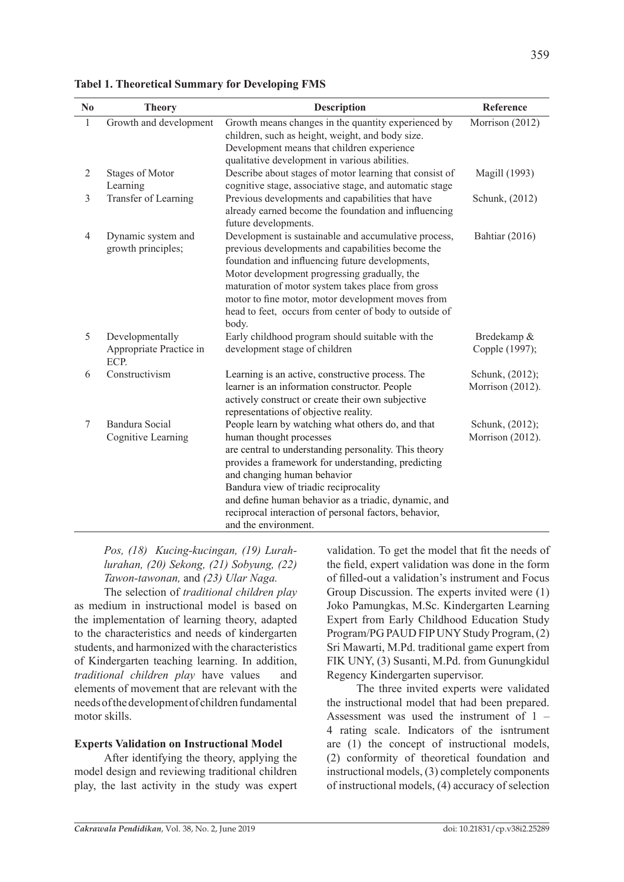| No           | <b>Theory</b>                                      | <b>Description</b>                                                                                                                                                                                                                                                                                                                                                                                           | Reference                           |
|--------------|----------------------------------------------------|--------------------------------------------------------------------------------------------------------------------------------------------------------------------------------------------------------------------------------------------------------------------------------------------------------------------------------------------------------------------------------------------------------------|-------------------------------------|
| $\mathbf{1}$ | Growth and development                             | Growth means changes in the quantity experienced by<br>children, such as height, weight, and body size.<br>Development means that children experience<br>qualitative development in various abilities.                                                                                                                                                                                                       | Morrison (2012)                     |
| 2            | <b>Stages of Motor</b><br>Learning                 | Describe about stages of motor learning that consist of<br>cognitive stage, associative stage, and automatic stage                                                                                                                                                                                                                                                                                           | Magill (1993)                       |
| 3            | Transfer of Learning                               | Previous developments and capabilities that have<br>already earned become the foundation and influencing<br>future developments.                                                                                                                                                                                                                                                                             | Schunk, (2012)                      |
| 4            | Dynamic system and<br>growth principles;           | Development is sustainable and accumulative process,<br>previous developments and capabilities become the<br>foundation and influencing future developments,<br>Motor development progressing gradually, the<br>maturation of motor system takes place from gross<br>motor to fine motor, motor development moves from<br>head to feet, occurs from center of body to outside of<br>body.                    | Bahtiar (2016)                      |
| 5            | Developmentally<br>Appropriate Practice in<br>ECP. | Early childhood program should suitable with the<br>development stage of children                                                                                                                                                                                                                                                                                                                            | Bredekamp &<br>Copple (1997);       |
| 6            | Constructivism                                     | Learning is an active, constructive process. The<br>learner is an information constructor. People<br>actively construct or create their own subjective<br>representations of objective reality.                                                                                                                                                                                                              | Schunk, (2012);<br>Morrison (2012). |
| 7            | Bandura Social<br>Cognitive Learning               | People learn by watching what others do, and that<br>human thought processes<br>are central to understanding personality. This theory<br>provides a framework for understanding, predicting<br>and changing human behavior<br>Bandura view of triadic reciprocality<br>and define human behavior as a triadic, dynamic, and<br>reciprocal interaction of personal factors, behavior,<br>and the environment. | Schunk, (2012);<br>Morrison (2012). |

**Tabel 1. Theoretical Summary for Developing FMS** 

*Pos, (18) Kucing-kucingan, (19) Lurahlurahan, (20) Sekong, (21) Sobyung, (22) Tawon-tawonan,* and *(23) Ular Naga.* 

The selection of *traditional children play* as medium in instructional model is based on the implementation of learning theory, adapted to the characteristics and needs of kindergarten students, and harmonized with the characteristics of Kindergarten teaching learning. In addition, *traditional children play* have values and elements of movement that are relevant with the needs of the development of children fundamental motor skills.

## **Experts Validation on Instructional Model**

After identifying the theory, applying the model design and reviewing traditional children play, the last activity in the study was expert validation. To get the model that fit the needs of the field, expert validation was done in the form of filled-out a validation's instrument and Focus Group Discussion. The experts invited were (1) Joko Pamungkas, M.Sc. Kindergarten Learning Expert from Early Childhood Education Study Program/PG PAUD FIP UNY Study Program, (2) Sri Mawarti, M.Pd. traditional game expert from FIK UNY, (3) Susanti, M.Pd. from Gunungkidul Regency Kindergarten supervisor.

The three invited experts were validated the instructional model that had been prepared. Assessment was used the instrument of 1 – 4 rating scale. Indicators of the isntrument are (1) the concept of instructional models, (2) conformity of theoretical foundation and instructional models, (3) completely components of instructional models, (4) accuracy of selection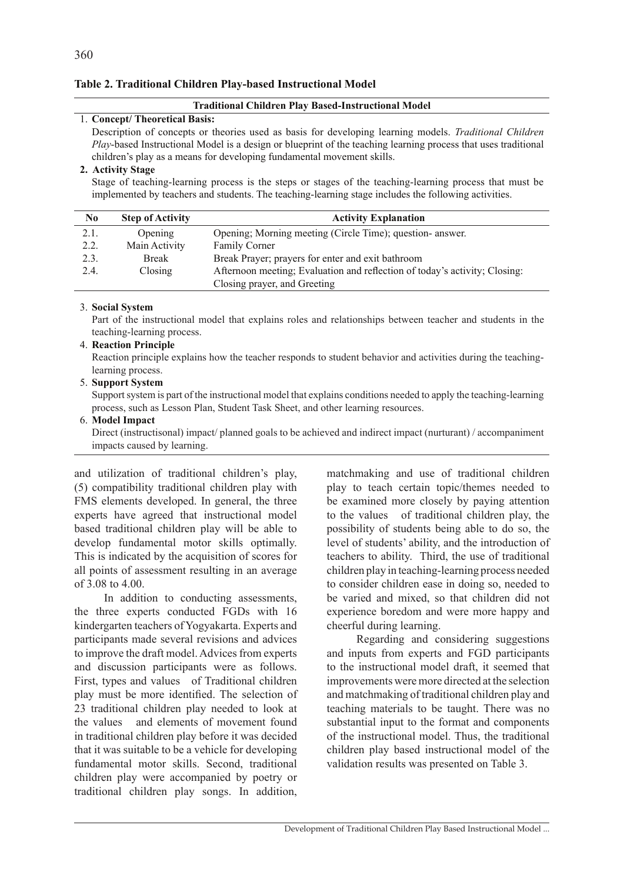### **Table 2. Traditional Children Play-based Instructional Model**

#### **Traditional Children Play Based-Instructional Model**

### 1. **Concept/ Theoretical Basis:**

Description of concepts or theories used as basis for developing learning models. *Traditional Children Play*-based Instructional Model is a design or blueprint of the teaching learning process that uses traditional children's play as a means for developing fundamental movement skills.

### **2. Activity Stage**

Stage of teaching-learning process is the steps or stages of the teaching-learning process that must be implemented by teachers and students. The teaching-learning stage includes the following activities.

| N <sub>0</sub> | <b>Step of Activity</b> | <b>Activity Explanation</b>                                                |
|----------------|-------------------------|----------------------------------------------------------------------------|
| 2.1.           | Opening                 | Opening; Morning meeting (Circle Time); question- answer.                  |
| 2.2.           | Main Activity           | <b>Family Corner</b>                                                       |
| 2.3.           | <b>Break</b>            | Break Prayer; prayers for enter and exit bathroom                          |
| 2.4.           | Closing                 | Afternoon meeting; Evaluation and reflection of today's activity; Closing: |
|                |                         | Closing prayer, and Greeting                                               |

#### 3. **Social System**

Part of the instructional model that explains roles and relationships between teacher and students in the teaching-learning process.

## 4. **Reaction Principle**

Reaction principle explains how the teacher responds to student behavior and activities during the teachinglearning process.

#### 5. **Support System**

Support system is part of the instructional model that explains conditions needed to apply the teaching-learning process, such as Lesson Plan, Student Task Sheet, and other learning resources.

### 6. **Model Impact**

Direct (instructisonal) impact/ planned goals to be achieved and indirect impact (nurturant) / accompaniment impacts caused by learning.

and utilization of traditional children's play, (5) compatibility traditional children play with FMS elements developed. In general, the three experts have agreed that instructional model based traditional children play will be able to develop fundamental motor skills optimally. This is indicated by the acquisition of scores for all points of assessment resulting in an average of 3.08 to 4.00.

In addition to conducting assessments, the three experts conducted FGDs with 16 kindergarten teachers of Yogyakarta. Experts and participants made several revisions and advices to improve the draft model. Advices from experts and discussion participants were as follows. First, types and values of Traditional children play must be more identified. The selection of 23 traditional children play needed to look at the values and elements of movement found in traditional children play before it was decided that it was suitable to be a vehicle for developing fundamental motor skills. Second, traditional children play were accompanied by poetry or traditional children play songs. In addition,

matchmaking and use of traditional children play to teach certain topic/themes needed to be examined more closely by paying attention to the values of traditional children play, the possibility of students being able to do so, the level of students' ability, and the introduction of teachers to ability. Third, the use of traditional children play in teaching-learning process needed to consider children ease in doing so, needed to be varied and mixed, so that children did not experience boredom and were more happy and cheerful during learning.

Regarding and considering suggestions and inputs from experts and FGD participants to the instructional model draft, it seemed that improvements were more directed at the selection and matchmaking of traditional children play and teaching materials to be taught. There was no substantial input to the format and components of the instructional model. Thus, the traditional children play based instructional model of the validation results was presented on Table 3.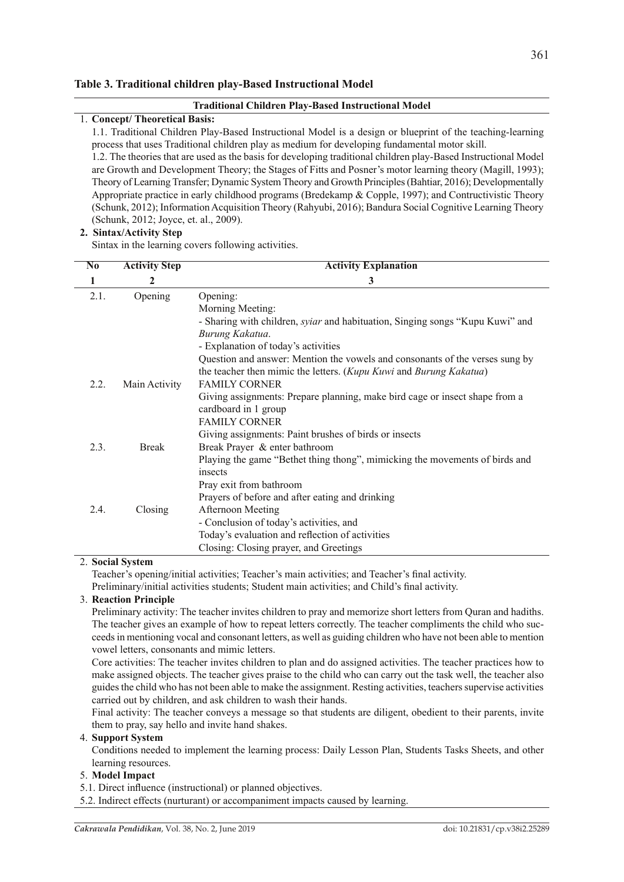#### **Table 3. Traditional children play-Based Instructional Model**

#### **Traditional Children Play-Based Instructional Model**

#### 1. **Concept/ Theoretical Basis:**

1.1. Traditional Children Play-Based Instructional Model is a design or blueprint of the teaching-learning process that uses Traditional children play as medium for developing fundamental motor skill.

1.2. The theories that are used as the basis for developing traditional children play-Based Instructional Model are Growth and Development Theory; the Stages of Fitts and Posner's motor learning theory (Magill, 1993); Theory of Learning Transfer; Dynamic System Theory and Growth Principles (Bahtiar, 2016); Developmentally Appropriate practice in early childhood programs (Bredekamp & Copple, 1997); and Contructivistic Theory (Schunk, 2012); Information Acquisition Theory (Rahyubi, 2016); Bandura Social Cognitive Learning Theory (Schunk, 2012; Joyce, et. al., 2009).

#### **2. Sintax/Activity Step**

Sintax in the learning covers following activities.

| $\overline{\text{No}}$ | <b>Activity Step</b> | <b>Activity Explanation</b>                                                          |  |
|------------------------|----------------------|--------------------------------------------------------------------------------------|--|
| 1                      | 2                    | 3                                                                                    |  |
| 2.1.                   | Opening              | Opening:                                                                             |  |
|                        |                      | Morning Meeting:                                                                     |  |
|                        |                      | - Sharing with children, <i>syiar</i> and habituation, Singing songs "Kupu Kuwi" and |  |
|                        |                      | Burung Kakatua.                                                                      |  |
|                        |                      | - Explanation of today's activities                                                  |  |
|                        |                      | Question and answer: Mention the vowels and consonants of the verses sung by         |  |
|                        |                      | the teacher then mimic the letters. (Kupu Kuwi and Burung Kakatua)                   |  |
| 2.2.                   | Main Activity        | <b>FAMILY CORNER</b>                                                                 |  |
|                        |                      | Giving assignments: Prepare planning, make bird cage or insect shape from a          |  |
|                        |                      | cardboard in 1 group                                                                 |  |
|                        |                      | <b>FAMILY CORNER</b>                                                                 |  |
|                        |                      | Giving assignments: Paint brushes of birds or insects                                |  |
| 2.3.                   | <b>Break</b>         | Break Prayer & enter bathroom                                                        |  |
|                        |                      | Playing the game "Bethet thing thong", mimicking the movements of birds and          |  |
|                        |                      | insects                                                                              |  |
|                        |                      | Pray exit from bathroom                                                              |  |
|                        |                      | Prayers of before and after eating and drinking                                      |  |
| 2.4.                   | Closing              | Afternoon Meeting                                                                    |  |
|                        |                      | - Conclusion of today's activities, and                                              |  |
|                        |                      | Today's evaluation and reflection of activities                                      |  |
|                        |                      | Closing: Closing prayer, and Greetings                                               |  |

#### 2. **Social System**

Teacher's opening/initial activities; Teacher's main activities; and Teacher's final activity.

Preliminary/initial activities students; Student main activities; and Child's final activity.

### 3. **Reaction Principle**

Preliminary activity: The teacher invites children to pray and memorize short letters from Quran and hadiths. The teacher gives an example of how to repeat letters correctly. The teacher compliments the child who succeeds in mentioning vocal and consonant letters, as well as guiding children who have not been able to mention vowel letters, consonants and mimic letters.

Core activities: The teacher invites children to plan and do assigned activities. The teacher practices how to make assigned objects. The teacher gives praise to the child who can carry out the task well, the teacher also guides the child who has not been able to make the assignment. Resting activities, teachers supervise activities carried out by children, and ask children to wash their hands.

Final activity: The teacher conveys a message so that students are diligent, obedient to their parents, invite them to pray, say hello and invite hand shakes.

### 4. **Support System**

Conditions needed to implement the learning process: Daily Lesson Plan, Students Tasks Sheets, and other learning resources.

#### 5. **Model Impact**

5.1. Direct influence (instructional) or planned objectives.

5.2. Indirect effects (nurturant) or accompaniment impacts caused by learning.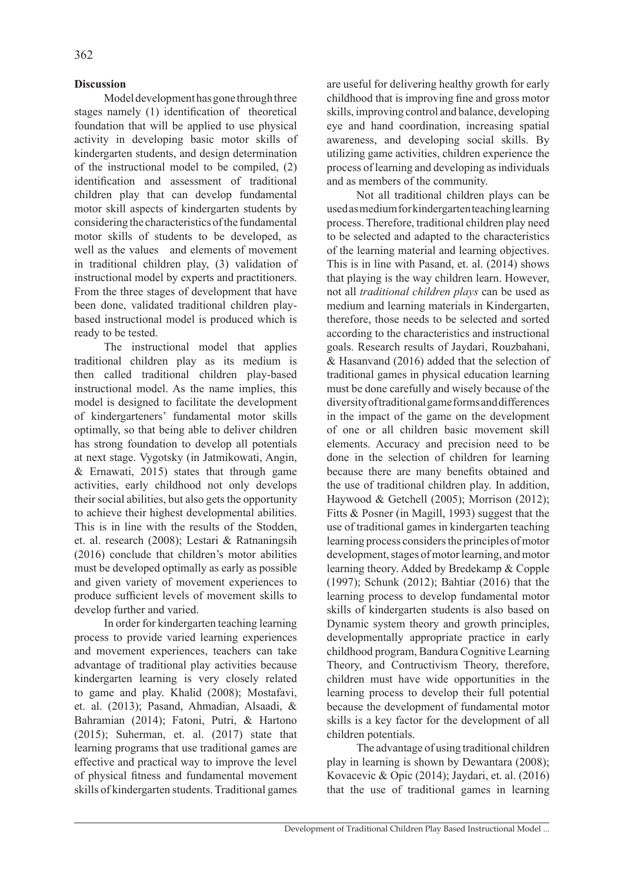# **Discussion**

Model development has gone through three stages namely (1) identification of theoretical foundation that will be applied to use physical activity in developing basic motor skills of kindergarten students, and design determination of the instructional model to be compiled, (2) identification and assessment of traditional children play that can develop fundamental motor skill aspects of kindergarten students by considering the characteristics of the fundamental motor skills of students to be developed, as well as the values and elements of movement in traditional children play, (3) validation of instructional model by experts and practitioners. From the three stages of development that have been done, validated traditional children playbased instructional model is produced which is ready to be tested.

The instructional model that applies traditional children play as its medium is then called traditional children play-based instructional model. As the name implies, this model is designed to facilitate the development of kindergarteners' fundamental motor skills optimally, so that being able to deliver children has strong foundation to develop all potentials at next stage. Vygotsky (in Jatmikowati, Angin, & Ernawati, 2015) states that through game activities, early childhood not only develops their social abilities, but also gets the opportunity to achieve their highest developmental abilities. This is in line with the results of the Stodden, et. al. research (2008); Lestari & Ratnaningsih (2016) conclude that children's motor abilities must be developed optimally as early as possible and given variety of movement experiences to produce sufficient levels of movement skills to develop further and varied.

In order for kindergarten teaching learning process to provide varied learning experiences and movement experiences, teachers can take advantage of traditional play activities because kindergarten learning is very closely related to game and play. Khalid (2008); Mostafavi, et. al. (2013); Pasand, Ahmadian, Alsaadi, & Bahramian (2014); Fatoni, Putri, & Hartono (2015); Suherman, et. al. (2017) state that learning programs that use traditional games are effective and practical way to improve the level of physical fitness and fundamental movement skills of kindergarten students. Traditional games are useful for delivering healthy growth for early childhood that is improving fine and gross motor skills, improving control and balance, developing eye and hand coordination, increasing spatial awareness, and developing social skills. By utilizing game activities, children experience the process of learning and developing as individuals and as members of the community.

Not all traditional children plays can be used as medium for kindergarten teaching learning process. Therefore, traditional children play need to be selected and adapted to the characteristics of the learning material and learning objectives. This is in line with Pasand, et. al. (2014) shows that playing is the way children learn. However, not all *traditional children plays* can be used as medium and learning materials in Kindergarten, therefore, those needs to be selected and sorted according to the characteristics and instructional goals. Research results of Jaydari, Rouzbahani, & Hasanvand (2016) added that the selection of traditional games in physical education learning must be done carefully and wisely because of the diversity of traditional game forms and differences in the impact of the game on the development of one or all children basic movement skill elements. Accuracy and precision need to be done in the selection of children for learning because there are many benefits obtained and the use of traditional children play. In addition, Haywood & Getchell (2005); Morrison (2012); Fitts & Posner (in Magill, 1993) suggest that the use of traditional games in kindergarten teaching learning process considers the principles of motor development, stages of motor learning, and motor learning theory. Added by Bredekamp & Copple (1997); Schunk (2012); Bahtiar (2016) that the learning process to develop fundamental motor skills of kindergarten students is also based on Dynamic system theory and growth principles, developmentally appropriate practice in early childhood program, Bandura Cognitive Learning Theory, and Contructivism Theory, therefore, children must have wide opportunities in the learning process to develop their full potential because the development of fundamental motor skills is a key factor for the development of all children potentials.

The advantage of using traditional children play in learning is shown by Dewantara (2008); Kovacevic & Opic (2014); Jaydari, et. al. (2016) that the use of traditional games in learning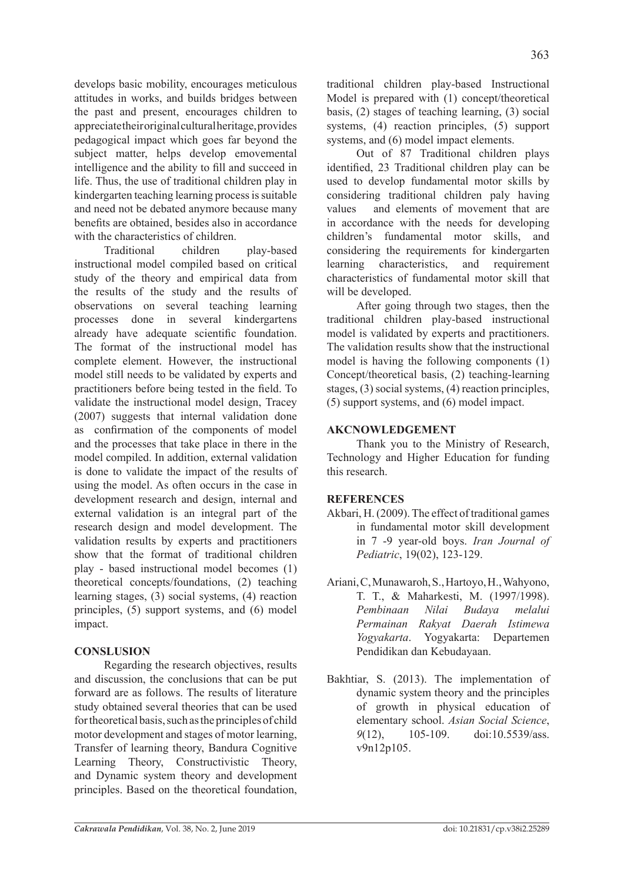develops basic mobility, encourages meticulous attitudes in works, and builds bridges between the past and present, encourages children to appreciate their original cultural heritage, provides pedagogical impact which goes far beyond the subject matter, helps develop emovemental intelligence and the ability to fill and succeed in life. Thus, the use of traditional children play in kindergarten teaching learning process is suitable and need not be debated anymore because many benefits are obtained, besides also in accordance with the characteristics of children.

Traditional children play-based instructional model compiled based on critical study of the theory and empirical data from the results of the study and the results of observations on several teaching learning processes done in several kindergartens already have adequate scientific foundation. The format of the instructional model has complete element. However, the instructional model still needs to be validated by experts and practitioners before being tested in the field. To validate the instructional model design, Tracey (2007) suggests that internal validation done as confirmation of the components of model and the processes that take place in there in the model compiled. In addition, external validation is done to validate the impact of the results of using the model. As often occurs in the case in development research and design, internal and external validation is an integral part of the research design and model development. The validation results by experts and practitioners show that the format of traditional children play - based instructional model becomes (1) theoretical concepts/foundations, (2) teaching learning stages, (3) social systems, (4) reaction principles, (5) support systems, and (6) model impact.

# **Conslusion**

Regarding the research objectives, results and discussion, the conclusions that can be put forward are as follows. The results of literature study obtained several theories that can be used for theoretical basis, such as the principles of child motor development and stages of motor learning, Transfer of learning theory, Bandura Cognitive Learning Theory, Constructivistic Theory, and Dynamic system theory and development principles. Based on the theoretical foundation, traditional children play-based Instructional Model is prepared with (1) concept/theoretical basis, (2) stages of teaching learning, (3) social systems, (4) reaction principles, (5) support systems, and (6) model impact elements.

Out of 87 Traditional children plays identified, 23 Traditional children play can be used to develop fundamental motor skills by considering traditional children paly having values and elements of movement that are in accordance with the needs for developing children's fundamental motor skills, and considering the requirements for kindergarten learning characteristics, and requirement characteristics of fundamental motor skill that will be developed.

After going through two stages, then the traditional children play-based instructional model is validated by experts and practitioners. The validation results show that the instructional model is having the following components (1) Concept/theoretical basis, (2) teaching-learning stages, (3) social systems, (4) reaction principles, (5) support systems, and (6) model impact.

# **AKCNOWLEDGEMENT**

Thank you to the Ministry of Research, Technology and Higher Education for funding this research.

## **References**

- Akbari, H. (2009). The effect of traditional games in fundamental motor skill development in 7 -9 year-old boys. *Iran Journal of Pediatric*, 19(02), 123-129.
- Ariani, C, Munawaroh, S., Hartoyo, H., Wahyono, T. T., & Maharkesti, M. (1997/1998). *Pembinaan Nilai Budaya melalui Permainan Rakyat Daerah Istimewa Yogyakarta*. Yogyakarta: Departemen Pendidikan dan Kebudayaan.
- Bakhtiar, S. (2013). The implementation of dynamic system theory and the principles of growth in physical education of elementary school. *Asian Social Science*, *9*(12), 105-109. doi:10.5539/ass. v9n12p105.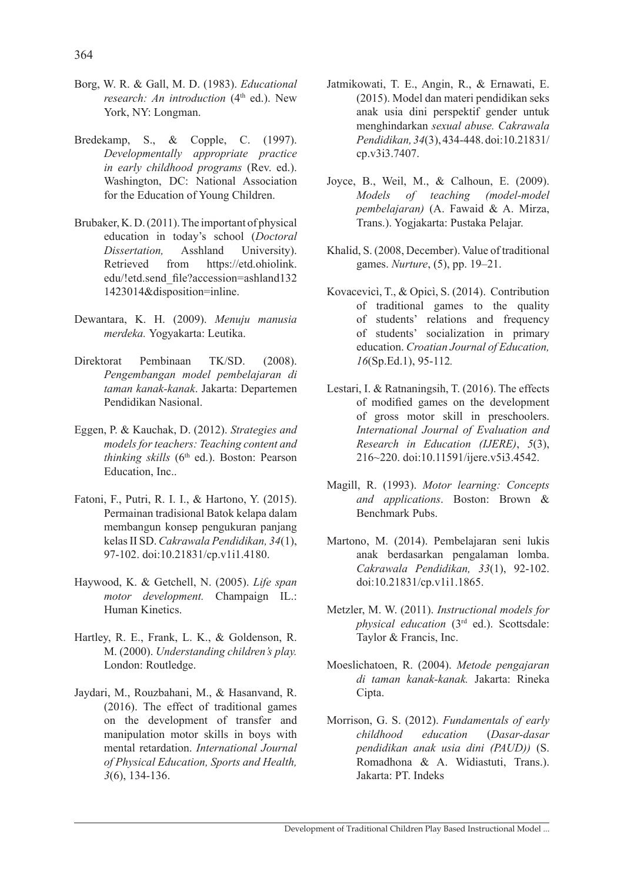- Borg, W. R. & Gall, M. D. (1983). *Educational research: An introduction* (4<sup>th</sup> ed.). New York, NY: Longman.
- Bredekamp, S., & Copple, C. (1997). *Developmentally appropriate practice in early childhood programs* (Rev. ed.). Washington, DC: National Association for the Education of Young Children.
- Brubaker, K. D. (2011). The important of physical education in today's school (*Doctoral Dissertation,* Asshland University). Retrieved from https://etd.ohiolink. edu/!etd.send\_file?accession=ashland132 1423014&disposition=inline.
- Dewantara, K. H. (2009). *Menuju manusia merdeka.* Yogyakarta: Leutika.
- Direktorat Pembinaan TK/SD. (2008). *Pengembangan model pembelajaran di taman kanak-kanak*. Jakarta: Departemen Pendidikan Nasional.
- Eggen, P. & Kauchak, D. (2012). *Strategies and models for teachers: Teaching content and thinking skills* (6th ed.). Boston: Pearson Education, Inc..
- Fatoni, F., Putri, R. I. I., & Hartono, Y. (2015). Permainan tradisional Batok kelapa dalam membangun konsep pengukuran panjang kelas II SD. *Cakrawala Pendidikan, 34*(1), 97-102. doi:10.21831/cp.v1i1.4180.
- Haywood, K. & Getchell, N. (2005). *Life span motor development.* Champaign IL.: Human Kinetics.
- Hartley, R. E., Frank, L. K., & Goldenson, R. M. (2000). *Understanding children's play.*  London: Routledge.
- Jaydari, M., Rouzbahani, M., & Hasanvand, R. (2016). The effect of traditional games on the development of transfer and manipulation motor skills in boys with mental retardation. *International Journal of Physical Education, Sports and Health, 3*(6), 134-136.
- Jatmikowati, T. E., Angin, R., & Ernawati, E. (2015). Model dan materi pendidikan seks anak usia dini perspektif gender untuk menghindarkan *sexual abuse. Cakrawala Pendidikan,34*(3),434-448.doi:10.21831/ cp.v3i3.7407.
- Joyce, B., Weil, M., & Calhoun, E. (2009). *Models of teaching (model-model pembelajaran)* (A. Fawaid & A. Mirza, Trans.). Yogjakarta: Pustaka Pelajar.
- Khalid, S. (2008, December). Value of traditional games. *Nurture*, (5), pp. 19–21.
- Kovacevicì, T., & Opicì, S. (2014). Contribution of traditional games to the quality of students' relations and frequency of students' socialization in primary education. *Croatian Journal of Education, 16*(Sp.Ed.1), 95-112*.*
- Lestari, I. & Ratnaningsih, T. (2016). The effects of modified games on the development of gross motor skill in preschoolers. *International Journal of Evaluation and Research in Education (IJERE)*, *5*(3), 216~220. doi:10.11591/ijere.v5i3.4542.
- Magill, R. (1993). *Motor learning: Concepts and applications*. Boston: Brown & Benchmark Pubs.
- Martono, M. (2014). Pembelajaran seni lukis anak berdasarkan pengalaman lomba. *Cakrawala Pendidikan, 33*(1), 92-102. doi:10.21831/cp.v1i1.1865.
- Metzler, M. W. (2011). *Instructional models for physical education* (3rd ed.). Scottsdale: Taylor & Francis, Inc.
- Moeslichatoen, R. (2004). *Metode pengajaran di taman kanak-kanak.* Jakarta: Rineka Cipta.
- Morrison, G. S. (2012). *Fundamentals of early childhood education* (*Dasar-dasar pendidikan anak usia dini (PAUD))* (S. Romadhona & A. Widiastuti, Trans.). Jakarta: PT. Indeks